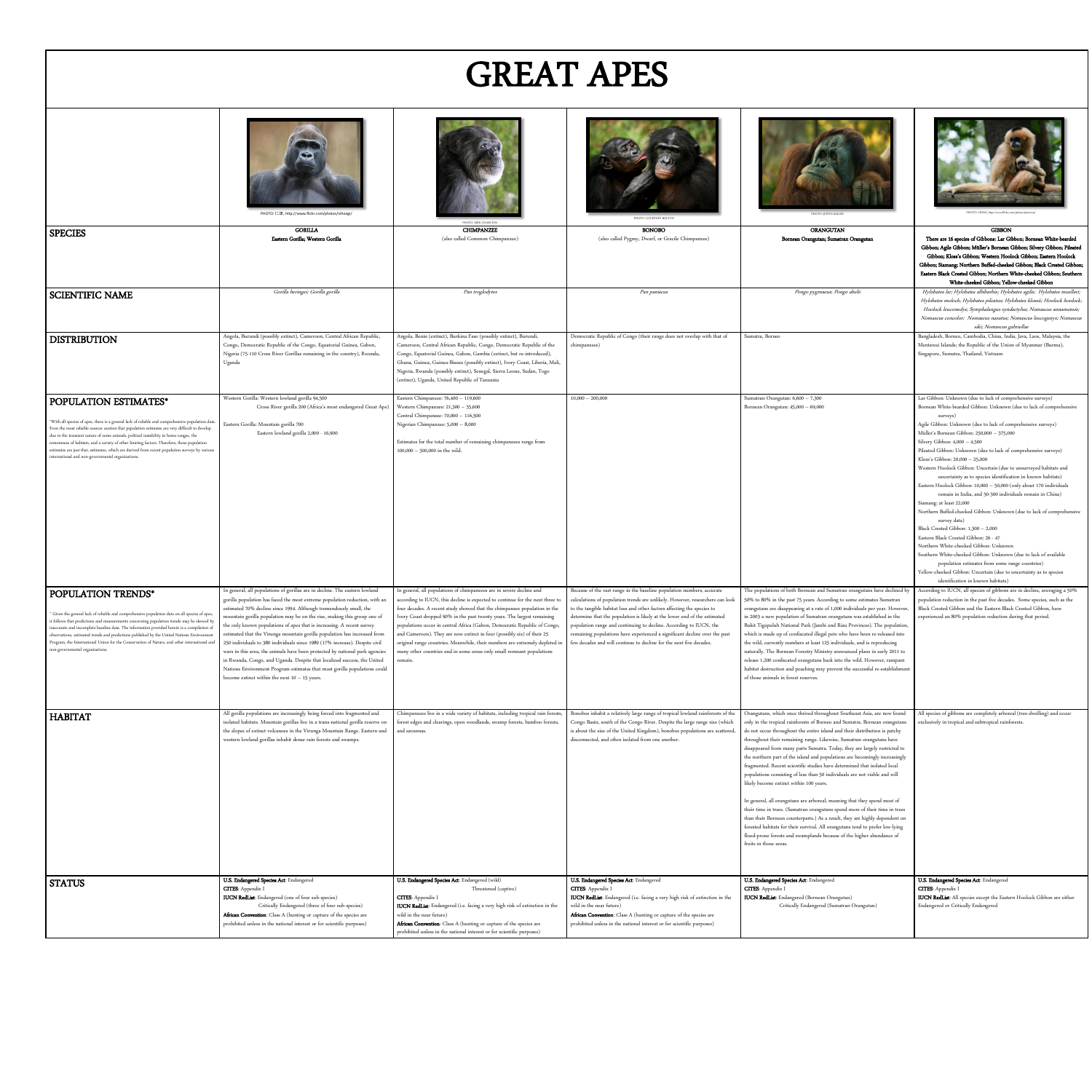## GREAT APES

|                                                                                                                                                                                                                                                                                                                                                                                                                                                                                                                                                                                | PHOTO: にほ, http://www.flickr.com/photos/nihongi/                                                                                                                                                                                                                                                                                                                                                                                                                                                                                                                                                                                                                                                                                                                                                                                               | PHOTO: ERIK CHARLTON                                                                                                                                                                                                                                                                                                                                                                                                                                                                                                                                                                                                                   | PHOTO: COURTNEY BOLTON                                                                                                                                                                                                                                                                                                                                                                                                                                                                                                                                                                                 | PHOTO: JUSTIN MILLER                                                                                                                                                                                                                                                                                                                                                                                                                                                                                                                                                                                                                                                                                                                                                                                                                                                                                                                                | PHOTO: LINDA, http://www.flickr.com/photos/jinterwas/                                                                                                                                                                                                                                                                                                                                                                                                                                                                                                                                                                                                                                                                                                                                                                                                                                                                                                                                                                                                                                                                                                      |
|--------------------------------------------------------------------------------------------------------------------------------------------------------------------------------------------------------------------------------------------------------------------------------------------------------------------------------------------------------------------------------------------------------------------------------------------------------------------------------------------------------------------------------------------------------------------------------|------------------------------------------------------------------------------------------------------------------------------------------------------------------------------------------------------------------------------------------------------------------------------------------------------------------------------------------------------------------------------------------------------------------------------------------------------------------------------------------------------------------------------------------------------------------------------------------------------------------------------------------------------------------------------------------------------------------------------------------------------------------------------------------------------------------------------------------------|----------------------------------------------------------------------------------------------------------------------------------------------------------------------------------------------------------------------------------------------------------------------------------------------------------------------------------------------------------------------------------------------------------------------------------------------------------------------------------------------------------------------------------------------------------------------------------------------------------------------------------------|--------------------------------------------------------------------------------------------------------------------------------------------------------------------------------------------------------------------------------------------------------------------------------------------------------------------------------------------------------------------------------------------------------------------------------------------------------------------------------------------------------------------------------------------------------------------------------------------------------|-----------------------------------------------------------------------------------------------------------------------------------------------------------------------------------------------------------------------------------------------------------------------------------------------------------------------------------------------------------------------------------------------------------------------------------------------------------------------------------------------------------------------------------------------------------------------------------------------------------------------------------------------------------------------------------------------------------------------------------------------------------------------------------------------------------------------------------------------------------------------------------------------------------------------------------------------------|------------------------------------------------------------------------------------------------------------------------------------------------------------------------------------------------------------------------------------------------------------------------------------------------------------------------------------------------------------------------------------------------------------------------------------------------------------------------------------------------------------------------------------------------------------------------------------------------------------------------------------------------------------------------------------------------------------------------------------------------------------------------------------------------------------------------------------------------------------------------------------------------------------------------------------------------------------------------------------------------------------------------------------------------------------------------------------------------------------------------------------------------------------|
| <b>SPECIES</b>                                                                                                                                                                                                                                                                                                                                                                                                                                                                                                                                                                 | <b>GORILLA</b><br>Eastern Gorilla; Western Gorilla                                                                                                                                                                                                                                                                                                                                                                                                                                                                                                                                                                                                                                                                                                                                                                                             | <b>CHIMPANZEE</b><br>(also called Common Chimpanzee)                                                                                                                                                                                                                                                                                                                                                                                                                                                                                                                                                                                   | <b>BONOBO</b><br>(also called Pygmy, Dwarf, or Gracile Chimpanzee)                                                                                                                                                                                                                                                                                                                                                                                                                                                                                                                                     | ORANGUTAN<br>Bornean Orangutan; Sumatran Orangutan                                                                                                                                                                                                                                                                                                                                                                                                                                                                                                                                                                                                                                                                                                                                                                                                                                                                                                  | <b>GIBBON</b><br>There are 16 species of Gibbons: Lar Gibbon; Bornean White-bearded<br>Gibbon; Agile Gibbon; Müller's Bornean Gibbon; Silvery Gibbon; Pileated<br>Gibbon; Kloss's Gibbon; Western Hoolock Gibbon; Eastern Hoolock<br>Gibbon; Siamang; Northern Buffed-cheeked Gibbon; Black Crested Gibbon;<br>Eastern Black Crested Gibbon; Northern White-cheeked Gibbon; Southern<br>White-cheeked Gibbon; Yellow-cheeked Gibbon                                                                                                                                                                                                                                                                                                                                                                                                                                                                                                                                                                                                                                                                                                                        |
| SCIENTIFIC NAME                                                                                                                                                                                                                                                                                                                                                                                                                                                                                                                                                                | Gorilla beringei; Gorilla gorilla                                                                                                                                                                                                                                                                                                                                                                                                                                                                                                                                                                                                                                                                                                                                                                                                              | Pan troglodytes                                                                                                                                                                                                                                                                                                                                                                                                                                                                                                                                                                                                                        | Pan paniscus                                                                                                                                                                                                                                                                                                                                                                                                                                                                                                                                                                                           | Pongo pygmaeus, Pongo abelii                                                                                                                                                                                                                                                                                                                                                                                                                                                                                                                                                                                                                                                                                                                                                                                                                                                                                                                        | Hylobates lar; Hylobates albibarbis; Hylobates agilis; Hylobates muelleri;<br>Hylobates moloch; Hylobates pileatus; Hylobates klossii; Hoolock hoolock;<br>Hoolock leuconedys; Symphalangus syndactylus; Nomascus annamensis;<br>Nomascus concolor; Nomascus nasutus; Nomascus leucogenys; Nomascus<br>siki; Nomascus gabriellae                                                                                                                                                                                                                                                                                                                                                                                                                                                                                                                                                                                                                                                                                                                                                                                                                           |
| <b>DISTRIBUTION</b>                                                                                                                                                                                                                                                                                                                                                                                                                                                                                                                                                            | Angola, Burundi (possibly extinct), Cameroon, Central African Republic,<br>Congo, Democratic Republic of the Congo, Equatorial Guinea, Gabon,<br>Nigeria (75-110 Cross River Gorillas remaining in the country), Rwanda,<br>Uganda                                                                                                                                                                                                                                                                                                                                                                                                                                                                                                                                                                                                             | Angola, Benin (extinct), Burkina Faso (possibly extinct), Burundi,<br>Cameroon, Central African Republic, Congo, Democratic Republic of the<br>Congo, Equatorial Guinea, Gabon, Gambia (extinct, but re-introduced),<br>Ghana, Guinea, Guinea-Bissau (possibly extinct), Ivory Coast, Liberia, Mali,<br>Nigeria, Rwanda (possibly extinct), Senegal, Sierra Leone, Sudan, Togo<br>(extinct), Uganda, United Republic of Tanzania                                                                                                                                                                                                       | Democratic Republic of Congo (their range does not overlap with that of<br>chimpanzees)                                                                                                                                                                                                                                                                                                                                                                                                                                                                                                                | Sumatra, Borneo                                                                                                                                                                                                                                                                                                                                                                                                                                                                                                                                                                                                                                                                                                                                                                                                                                                                                                                                     | Bangladesh, Borneo, Cambodia, China, India, Java, Laos, Malaysia, the<br>Mentawai Islands; the Republic of the Union of Myanmar (Burma),<br>Singapore, Sumatra, Thailand, Vietnam                                                                                                                                                                                                                                                                                                                                                                                                                                                                                                                                                                                                                                                                                                                                                                                                                                                                                                                                                                          |
| POPULATION ESTIMATES*<br>*With all species of apes, there is a general lack of reliable and comprehensive population data.<br>Even the most reliable sources caution that population estimates are very difficult to develop<br>due to the transient nature of some animals, political instability in home ranges, the<br>remoteness of habitats, and a variety of other limiting factors. Therefore, these population<br>estimates are just that, estimates, which are derived from recent population surveys by various<br>international and non-governmental organizations. | Western Gorilla: Western lowland gorilla 94,500<br>Cross River gorilla 200 (Africa's most endangered Great Ape)<br>Eastern Gorilla: Mountain gorilla 700<br>Eastern lowland gorilla 2,000 - 16,900                                                                                                                                                                                                                                                                                                                                                                                                                                                                                                                                                                                                                                             | Eastern Chimpanzee: 76,400 - 119,600<br>Western Chimpanzee: 21,300 - 55,600<br>Central Chimpanzee: 70,000 - 116,500<br>Nigerian Chimpanzee: 5,000 - 8,000<br>Estimates for the total number of remaining chimpanzees range from<br>$100,000 - 300,000$ in the wild.                                                                                                                                                                                                                                                                                                                                                                    | $10,000 - 200,000$                                                                                                                                                                                                                                                                                                                                                                                                                                                                                                                                                                                     | Sumatran Orangutan: 6,600 - 7,300<br>Bornean Orangutan: 45,000 - 69,000                                                                                                                                                                                                                                                                                                                                                                                                                                                                                                                                                                                                                                                                                                                                                                                                                                                                             | Lar Gibbon: Unknown (due to lack of comprehensive surveys)<br>Bornean White-bearded Gibbon: Unknown (due to lack of comprehensive<br>surveys)<br>Agile Gibbon: Unknown (due to lack of comprehensive surveys)<br>Müller's Bornean Gibbon: 250,000 - 375,000<br>Silvery Gibbon: 4,000 - 4,500<br>Pileated Gibbon: Unknown (due to lack of comprehensive surveys)<br>Kloss's Gibbon: 20,000 - 25,000<br>Western Hoolock Gibbon: Uncertain (due to unsurveyed habitats and<br>uncertainty as to species identification in known habitats)<br>Eastern Hoolock Gibbon: 10,000 - 50,000 (only about 170 individuals<br>remain in India, and 50-300 individuals remain in China)<br>Siamang: at least 22,000<br>Northern Buffed-cheeked Gibbon: Unknown (due to lack of comprehensive<br>survey data)<br>Black Crested Gibbon: 1,300 - 2,000<br>Eastern Black Crested Gibbon: 26 - 47<br>Northern White-cheeked Gibbon: Unknown<br>Southern White-cheeked Gibbon: Unknown (due to lack of available<br>population estimates from some range countries)<br>Yellow-cheeked Gibbon: Uncertain (due to uncertainty as to species<br>identification in known habitats) |
| POPULATION TRENDS*<br>Given the general lack of reliable and comprehensive population data on all species of apes,<br>it follows that predictions and measurements concerning population trends may be skewed by<br>inaccurate and incomplete baseline data. The information provided herein is a compilation of<br>observations, estimated trends and predictions published by the United Nations Environment<br>Program, the International Union for the Conservation of Nature, and other international and<br>non-governmental organizations.                              | In general, all populations of gorillas are in decline. The eastern lowland<br>gorilla population has faced the most extreme population reduction, with an<br>estimated 70% decline since 1994. Although tremendously small, the<br>mountain gorilla population may be on the rise, making this group one of<br>the only known populations of apes that is increasing. A recent survey<br>estimated that the Virunga mountain gorilla population has increased from<br>250 individuals to 380 individuals since 1989 (17% increase). Despite civil<br>wars in this area, the animals have been protected by national park agencies<br>in Rwanda, Congo, and Uganda. Despite that localized success, the United<br>Nations Environment Program estimates that most gorilla populations could<br>become extinct within the next $10 - 15$ years. | In general, all populations of chimpanzees are in severe decline and<br>according to IUCN, this decline is expected to continue for the next three to<br>four decades. A recent study showed that the chimpanzee population in the<br>Ivory Coast dropped 90% in the past twenty years. The largest remaining<br>populations occur in central Africa (Gabon, Democratic Republic of Congo,<br>and Cameroon). They are now extinct in four (possibly six) of their 25<br>original range countries. Meanwhile, their numbers are extremely depleted i<br>many other countries and in some areas only small remnant populations<br>emain. | Because of the vast range in the baseline population numbers, accurate<br>calculations of population trends are unlikely. However, researchers can look<br>to the tangible habitat loss and other factors affecting the species to<br>determine that the population is likely at the lower end of the estimated<br>population range and continuing to decline. According to IUCN, the<br>remaining populations have experienced a significant decline over the past<br>few decades and will continue to decline for the next five decades.                                                             | The populations of both Bornean and Sumatran orangutans have declined by<br>50% to 80% in the past 75 years. According to some estimates Sumatran<br>orangutans are disappearing at a rate of 1,000 individuals per year. However,<br>in 2003 a new population of Sumatran orangutans was established in the<br>Bukit Tigapuluh National Park (Jambi and Riau Provinces). The population,<br>which is made up of confiscated illegal pets who have been re-released into<br>the wild, currently numbers at least 125 individuals, and is reproducing<br>naturally. The Bornean Forestry Ministry announced plans in early 2011 to<br>release 1,200 confiscated orangutans back into the wild. However, rampant<br>habitat destruction and poaching may prevent the successful re-establishment<br>of those animals in forest reserves.                                                                                                              | According to IUCN, all species of gibbons are in decline, averaging a 50%<br>population reduction in the past five decades. Some species, such as the<br>Black Crested Gibbon and the Eastern Black Crested Gibbon, have<br>experienced an 80% population reduction during that period.                                                                                                                                                                                                                                                                                                                                                                                                                                                                                                                                                                                                                                                                                                                                                                                                                                                                    |
| <b>HABITAT</b>                                                                                                                                                                                                                                                                                                                                                                                                                                                                                                                                                                 | All gorilla populations are increasingly being forced into fragmented and<br>isolated habitats. Mountain gorillas live in a trans-national gorilla reserve on<br>the slopes of extinct volcanoes in the Virunga Mountain Range. Eastern and<br>western lowland gorillas inhabit dense rain forests and swamps.                                                                                                                                                                                                                                                                                                                                                                                                                                                                                                                                 | and savannas.                                                                                                                                                                                                                                                                                                                                                                                                                                                                                                                                                                                                                          | Chimpanzees live in a wide variety of habitats, including tropical rain forests, Bonobos inhabit a relatively large range of tropical lowland rainforests of the Orangutans, which once thrived throughout Southeast Asia, are<br>forest edges and clearings, open woodlands, swamp forests, bamboo forests, Congo Basin, south of the Congo River. Despite the large range size (which only in the tropical rainforests of Borneo and Sumatra. Bornean oranguta<br>is about the size of the United Kingdom), bonobos populations are scattered,<br>disconnected, and often isolated from one another. | do not occur throughout the entire island and their distribution is patchy<br>throughout their remaining range. Likewise, Sumatran orangutans have<br>disappeared from many parts Sumatra. Today, they are largely restricted to<br>the northern part of the island and populations are becomingly increasingly<br>fragmented. Recent scientific studies have determined that isolated local<br>populations consisting of less than 50 individuals are not viable and will<br>likely become extinct within 100 years.<br>In general, all orangutans are arboreal, meaning that they spend most of<br>their time in trees. (Sumatran orangutans spend more of their time in trees<br>than their Bornean counterparts.) As a result, they are highly dependent on<br>forested habitats for their survival. All orangutans tend to prefer low-lying<br>flood-prone forests and swamplands because of the higher abundance of<br>fruits in those areas. | All species of gibbons are completely arboreal (tree-dwelling) and occur<br>exclusively in tropical and subtropical rainforests.                                                                                                                                                                                                                                                                                                                                                                                                                                                                                                                                                                                                                                                                                                                                                                                                                                                                                                                                                                                                                           |
| STATUS                                                                                                                                                                                                                                                                                                                                                                                                                                                                                                                                                                         | U.S. Endangered Species Act: Endangered<br><b>CITES:</b> Appendix I<br><b>IUCN RedList:</b> Endangered (one of four sub-species)<br>Critically Endangered (three of four sub-species)<br>African Convention: Class A (hunting or capture of the species are<br>prohibited unless in the national interest or for scientific purposes)                                                                                                                                                                                                                                                                                                                                                                                                                                                                                                          | U.S. Endangered Species Act: Endangered (wild)<br>Threatened (captive)<br><b>CITES:</b> Appendix I<br><b>IUCN RedList</b> : Endangered (i.e. facing a very high risk of extinction in the<br>wild in the near future)<br>African Convention: Class A (hunting or capture of the species are<br>prohibited unless in the national interest or for scientific purposes)                                                                                                                                                                                                                                                                  | U.S. Endangered Species Act: Endangered<br><b>CITES:</b> Appendix I<br><b>IUCN RedList</b> : Endangered (i.e. facing a very high risk of extinction in the<br>wild in the near future)<br>African Convention: Class A (hunting or capture of the species are<br>prohibited unless in the national interest or for scientific purposes)                                                                                                                                                                                                                                                                 | U.S. Endangered Species Act: Endangered<br><b>CITES:</b> Appendix I<br><b>IUCN RedList:</b> Endangered (Bornean Orangutan)<br>Critically Endangered (Sumatran Orangutan)                                                                                                                                                                                                                                                                                                                                                                                                                                                                                                                                                                                                                                                                                                                                                                            | U.S. Endangered Species Act: Endangered<br><b>CITES:</b> Appendix I<br>IUCN RedList: All species except the Eastern Hoolock Gibbon are either<br>Endangered or Critically Endangered                                                                                                                                                                                                                                                                                                                                                                                                                                                                                                                                                                                                                                                                                                                                                                                                                                                                                                                                                                       |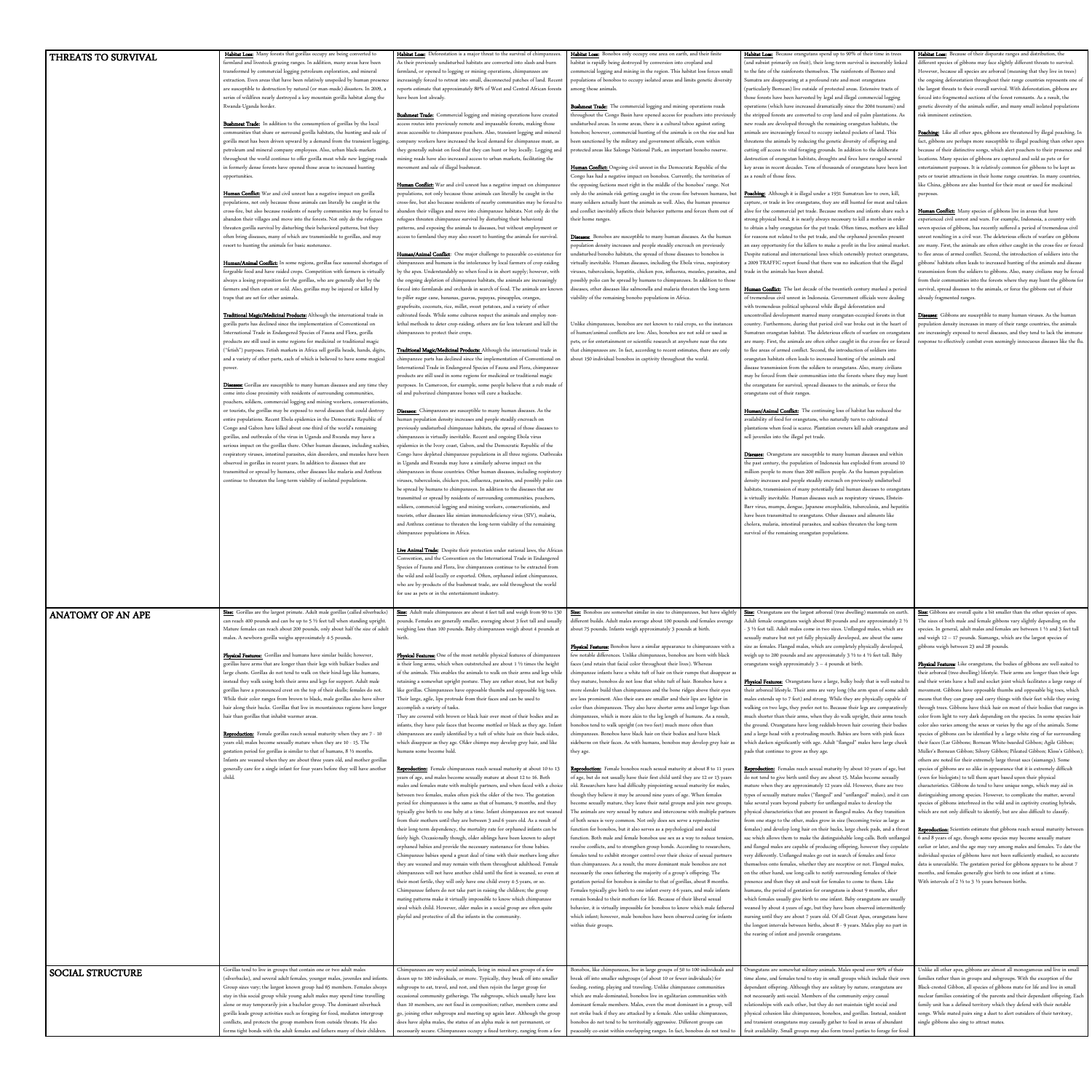|                          | Habitat Loss: Many forests that gorillas occupy are being converted to                                                                                    | Habitat Loss: Deforestation is a major threat to the survival of chimpanzees.                                                                             | Habitat Loss: Bonobos only occupy one area on earth, and their finite                                                                                                                                                         | Habitat Loss: Because orangutans spend up to 90% of their time in trees                                                                                       | Habitat Loss: Because of their disparate ranges and distribution, the                                                                                          |
|--------------------------|-----------------------------------------------------------------------------------------------------------------------------------------------------------|-----------------------------------------------------------------------------------------------------------------------------------------------------------|-------------------------------------------------------------------------------------------------------------------------------------------------------------------------------------------------------------------------------|---------------------------------------------------------------------------------------------------------------------------------------------------------------|----------------------------------------------------------------------------------------------------------------------------------------------------------------|
| THREATS TO SURVIVAL      | farmland and livestock grazing ranges. In addition, many areas have been                                                                                  | As their previously undisturbed habitats are converted into slash-and-burn                                                                                | habitat is rapidly being destroyed by conversion into cropland and                                                                                                                                                            | (and subsist primarily on fruit), their long-term survival is inexorably linked                                                                               | different species of gibbons may face slightly different threats to survival.                                                                                  |
|                          | transformed by commercial logging petroleum exploration, and mineral                                                                                      | farmland, or opened to logging or mining operations, chimpanzees are                                                                                      | commercial logging and mining in the region. This habitat loss forces small                                                                                                                                                   | to the fate of the rainforests themselves. The rainforests of Borneo and                                                                                      | However, because all species are arboreal (meaning that they live in trees)                                                                                    |
|                          | extraction. Even areas that have been relatively unspoiled by human presence                                                                              | increasingly forced to retreat into small, disconnected patches of land. Recent                                                                           | populations of bonobos to occupy isolated areas and limits genetic diversity                                                                                                                                                  | Sumatra are disappearing at a profound rate and most orangutans                                                                                               | the ongoing deforestation throughout their range countries represents one of                                                                                   |
|                          | are susceptible to destruction by natural (or man-made) disasters. In 2009,                                                                               | reports estimate that approximately 80% of West and Central African forests                                                                               | among those animals.                                                                                                                                                                                                          | (particularly Bornean) live outside of protected areas. Extensive tracts of                                                                                   | the largest threats to their overall survival. With deforestation, gibbons are                                                                                 |
|                          | series of wildfires nearly destroyed a key mountain gorilla habitat along the                                                                             | have been lost already.                                                                                                                                   |                                                                                                                                                                                                                               | those forests have been harvested by legal and illegal commercial logging                                                                                     | forced into fragmented sections of the forest remnants. As a result, the                                                                                       |
|                          | Rwanda-Uganda border.                                                                                                                                     |                                                                                                                                                           | Bushmeat Trade: The commercial logging and mining operations roads                                                                                                                                                            | operations (which have increased dramatically since the 2004 tsunami) and                                                                                     | genetic diversity of the animals suffer, and many small isolated populations                                                                                   |
|                          |                                                                                                                                                           | Bushmeat Trade: Commercial logging and mining operations have created                                                                                     | throughout the Congo Basin have opened access for poachers into previously                                                                                                                                                    | the stripped forests are converted to crop land and oil palm plantations. As                                                                                  | risk imminent extinction.                                                                                                                                      |
|                          | Bushmeat Trade: In addition to the consumption of gorillas by the local                                                                                   | access routes into previously remote and impassable forests, making those                                                                                 | undisturbed areas. In some areas, there is a cultural taboo against eating                                                                                                                                                    | new roads are developed through the remaining orangutan habitats, the                                                                                         |                                                                                                                                                                |
|                          | communities that share or surround gorilla habitats, the hunting and sale of                                                                              | areas accessible to chimpanzee poachers. Also, transient logging and mineral                                                                              | bonobos; however, commercial hunting of the animals is on the rise and has                                                                                                                                                    | animals are increasingly forced to occupy isolated pockets of land. This                                                                                      | Poaching: Like all other apes, gibbons are threatened by illegal poaching. In                                                                                  |
|                          | gorilla meat has been driven upward by a demand from the transient logging,                                                                               | company workers have increased the local demand for chimpanzee meat, as                                                                                   | been sanctioned by the military and government officials, even within                                                                                                                                                         | threatens the animals by reducing the genetic diversity of offspring and                                                                                      | fact, gibbons are perhaps more susceptible to illegal poaching than other apes                                                                                 |
|                          | petroleum and mineral company employees. Also, urban black-markets                                                                                        | they generally subsist on food that they can hunt or buy locally. Logging and                                                                             | protected areas like Salonga National Park, an important bonobo reserve.                                                                                                                                                      | cutting off access to vital foraging grounds. In addition to the deliberate                                                                                   | because of their distinctive songs, which alert poachers to their presence and                                                                                 |
|                          | throughout the world continue to offer gorilla meat while new logging roads                                                                               | mining roads have also increased access to urban markets, facilitating the                                                                                |                                                                                                                                                                                                                               | destruction of orangutan habitats, droughts and fires have ravaged several                                                                                    | locations. Many species of gibbons are captured and sold as pets or for                                                                                        |
|                          | in formerly dense forests have opened those areas to increased hunting                                                                                    | movement and sale of illegal bushmeat.                                                                                                                    | Human Conflict: Ongoing civil unrest in the Democratic Republic of the                                                                                                                                                        | key areas in recent decades. Tens of thousands of orangutans have been lost                                                                                   | entertainment purposes. It is relatively common for gibbons to be kept as                                                                                      |
|                          | opportunities.                                                                                                                                            |                                                                                                                                                           | Congo has had a negative impact on bonobos. Currently, the territories of                                                                                                                                                     | as a result of those fires.                                                                                                                                   | pets or tourist attractions in their home range countries. In many countries,                                                                                  |
|                          |                                                                                                                                                           | Human Conflict: War and civil unrest has a negative impact on chimpanzee                                                                                  | the opposing factions meet right in the middle of the bonobos' range. Not                                                                                                                                                     |                                                                                                                                                               | like China, gibbons are also hunted for their meat or used for medicinal                                                                                       |
|                          | Human Conflict: War and civil unrest has a negative impact on gorilla                                                                                     | populations, not only because those animals can literally be caught in the                                                                                | only do the animals risk getting caught in the cross-fire between humans, but                                                                                                                                                 | Poaching: Although it is illegal under a 1931 Sumatran law to own, kill,                                                                                      | purposes                                                                                                                                                       |
|                          | populations, not only because those animals can literally be caught in the                                                                                | cross-fire, but also because residents of nearby communities may be forced to                                                                             | many soldiers actually hunt the animals as well. Also, the human presence                                                                                                                                                     | capture, or trade in live orangutans, they are still hunted for meat and taken                                                                                |                                                                                                                                                                |
|                          | cross-fire, but also because residents of nearby communities may be forced to                                                                             | abandon their villages and move into chimpanzee habitats. Not only do the                                                                                 | and conflict inevitably affects their behavior patterns and forces them out of                                                                                                                                                | alive for the commercial pet trade. Because mothers and infants share such                                                                                    | Human Conflict: Many species of gibbons live in areas that have                                                                                                |
|                          | abandon their villages and move into the forests. Not only do the refugees                                                                                | refugees threaten chimpanzee survival by disturbing their behavioral                                                                                      | their home ranges.                                                                                                                                                                                                            | strong physical bond, it is nearly always necessary to kill a mother in order                                                                                 | experienced civil unrest and wars. For example, Indonesia, a country with                                                                                      |
|                          | threaten gorilla survival by disturbing their behavioral patterns, but they<br>often bring diseases, many of which are transmissible to gorillas, and may | patterns, and exposing the animals to diseases, but without employment or<br>access to farmland they may also resort to hunting the animals for survival. | Diseases: Bonobos are susceptible to many human diseases. As the human                                                                                                                                                        | to obtain a baby orangutan for the pet trade. Often times, mothers are killed<br>for reasons not related to the pet trade, and the orphaned juveniles present | seven species of gibbons, has recently suffered a period of tremendous civil<br>unrest resulting in a civil war. The deleterious effects of warfare on gibbons |
|                          | resort to hunting the animals for basic sustenance.                                                                                                       |                                                                                                                                                           | population density increases and people steadily encroach on previously                                                                                                                                                       | an easy opportunity for the killers to make a profit in the live animal market.                                                                               | are many. First, the animals are often either caught in the cross-fire or forced                                                                               |
|                          |                                                                                                                                                           | Human/Animal Conflict: One major challenge to peaceable co-existence for                                                                                  | undisturbed bonobo habitats, the spread of those diseases to bonobos is                                                                                                                                                       | Despite national and international laws which ostensibly protect orangutans                                                                                   | to flee areas of armed conflict. Second, the introduction of soldiers into the                                                                                 |
|                          | Human/Animal Conflict: In some regions, gorillas face seasonal shortages of                                                                               | chimpanzees and humans is the intolerance by local farmers of crop-raiding                                                                                | virtually inevitable. Human diseases, including the Ebola virus, respiratory                                                                                                                                                  | a 2009 TRAFFIC report found that there was no indication that the illegal                                                                                     | gibbons' habitats often leads to increased hunting of the animals and disease                                                                                  |
|                          | forgeable food and have raided crops. Competition with farmers is virtually                                                                               | by the apes. Understandably so when food is in short supply; however, with                                                                                | viruses, tuberculosis, hepatitis, chicken pox, influenza, measles, parasites, and                                                                                                                                             | trade in the animals has been abated.                                                                                                                         | transmission from the soldiers to gibbons. Also, many civilians may be forced                                                                                  |
|                          | always a losing proposition for the gorillas, who are generally shot by the                                                                               | the ongoing depletion of chimpanzee habitats, the animals are increasingly                                                                                | possibly polio can be spread by humans to chimpanzees. In addition to those                                                                                                                                                   |                                                                                                                                                               | from their communities into the forests where they may hunt the gibbons for                                                                                    |
|                          | farmers and then eaten or sold. Also, gorillas may be injured or killed by                                                                                | forced into farmlands and orchards in search of food. The animals are known                                                                               | diseases, other diseases like salmonella and malaria threaten the long-term                                                                                                                                                   | Human Conflict: The last decade of the twentieth century marked a period                                                                                      | survival, spread diseases to the animals, or force the gibbons out of their                                                                                    |
|                          | traps that are set for other animals.                                                                                                                     | to pilfer sugar cane, bananas, guavas, papayas, pineapples, oranges,                                                                                      | viability of the remaining bonobo populations in Africa.                                                                                                                                                                      | of tremendous civil unrest in Indonesia. Government officials were dealing                                                                                    | already fragmented ranges.                                                                                                                                     |
|                          |                                                                                                                                                           | grapefruits, coconuts, rice, millet, sweet potatoes, and a variety of other                                                                               |                                                                                                                                                                                                                               | with tremendous political upheaval while illegal deforestation and                                                                                            |                                                                                                                                                                |
|                          | Traditional Magic/Medicinal Products: Although the international trade in                                                                                 | cultivated foods. While some cultures respect the animals and employ non-                                                                                 |                                                                                                                                                                                                                               | uncontrolled development marred many orangutan-occupied forests in that                                                                                       | Diseases: Gibbons are susceptible to many human viruses. As the human                                                                                          |
|                          | gorilla parts has declined since the implementation of Conventional on                                                                                    | lethal methods to deter crop-raiding, others are far less tolerant and kill the                                                                           | Unlike chimpanzees, bonobos are not known to raid crops, so the instance                                                                                                                                                      | country. Furthermore, during that period civil war broke out in the heart of                                                                                  | population density increases in many of their range countries, the animals                                                                                     |
|                          | International Trade in Endangered Species of Fauna and Flora, gorilla                                                                                     | chimpanzees to protect their crops.                                                                                                                       | of human/animal conflicts are low. Also, bonobos are not sold or used as                                                                                                                                                      | Sumatran orangutan habitat. The deleterious effects of warfare on orangutan                                                                                   | are increasingly exposed to novel diseases, and they tend to lack the immune                                                                                   |
|                          | products are still used in some regions for medicinal or traditional magic                                                                                |                                                                                                                                                           | pets, or for entertainment or scientific research at anywhere near the rate                                                                                                                                                   | are many. First, the animals are often either caught in the cross-fire or forced                                                                              | response to effectively combat even seemingly innocuous diseases like the flu                                                                                  |
|                          | ("fetish") purposes. Fetish markets in Africa sell gorilla heads, hands, digits,                                                                          | Traditional Magic/Medicinal Products: Although the international trade in                                                                                 | that chimpanzees are. In fact, according to recent estimates, there are only                                                                                                                                                  | to flee areas of armed conflict. Second, the introduction of soldiers into                                                                                    |                                                                                                                                                                |
|                          | and a variety of other parts, each of which is believed to have some magical                                                                              | chimpanzee parts has declined since the implementation of Conventional on about 150 individual bonobos in captivity throughout the world.                 |                                                                                                                                                                                                                               | orangutan habitats often leads to increased hunting of the animals and                                                                                        |                                                                                                                                                                |
|                          | power                                                                                                                                                     | International Trade in Endangered Species of Fauna and Flora, chimpanzee                                                                                  |                                                                                                                                                                                                                               | disease transmission from the soldiers to orangutans. Also, many civilians                                                                                    |                                                                                                                                                                |
|                          |                                                                                                                                                           | products are still used in some regions for medicinal or traditional magic                                                                                |                                                                                                                                                                                                                               | may be forced from their communities into the forests where they may hunt                                                                                     |                                                                                                                                                                |
|                          | Diseases: Gorillas are susceptible to many human diseases and any time they                                                                               | purposes. In Cameroon, for example, some people believe that a rub made of                                                                                |                                                                                                                                                                                                                               | the orangutans for survival, spread diseases to the animals, or force the                                                                                     |                                                                                                                                                                |
|                          | come into close proximity with residents of surrounding communities,                                                                                      | oil and pulverized chimpanzee bones will cure a backache.                                                                                                 |                                                                                                                                                                                                                               | orangutans out of their ranges.                                                                                                                               |                                                                                                                                                                |
|                          | poachers, soldiers, commercial logging and mining workers, conservationists,                                                                              |                                                                                                                                                           |                                                                                                                                                                                                                               |                                                                                                                                                               |                                                                                                                                                                |
|                          | or tourists, the gorillas may be exposed to novel diseases that could destroy                                                                             | Diseases: Chimpanzees are susceptible to many human diseases. As the                                                                                      |                                                                                                                                                                                                                               | Human/Animal Conflict: The continuing loss of habitat has reduced the                                                                                         |                                                                                                                                                                |
|                          | entire populations. Recent Ebola epidemics in the Democratic Republic of                                                                                  | human population density increases and people steadily encroach on                                                                                        |                                                                                                                                                                                                                               | availability of food for orangutans, who naturally turn to cultivated                                                                                         |                                                                                                                                                                |
|                          | Congo and Gabon have killed about one-third of the world's remaining<br>gorillas, and outbreaks of the virus in Uganda and Rwanda may have a              | previously undisturbed chimpanzee habitats, the spread of those diseases to<br>chimpanzees is virtually inevitable. Recent and ongoing Ebola virus        |                                                                                                                                                                                                                               | plantations when food is scarce. Plantation owners kill adult orangutans and<br>sell juveniles into the illegal pet trade.                                    |                                                                                                                                                                |
|                          | serious impact on the gorillas there. Other human diseases, including scabies,                                                                            | epidemics in the Ivory coast, Gabon, and the Democratic Republic of the                                                                                   |                                                                                                                                                                                                                               |                                                                                                                                                               |                                                                                                                                                                |
|                          | respiratory viruses, intestinal parasites, skin disorders, and measles have been                                                                          | Congo have depleted chimpanzee populations in all three regions. Outbreaks                                                                                |                                                                                                                                                                                                                               | Diseases: Orangutans are susceptible to many human diseases and within                                                                                        |                                                                                                                                                                |
|                          | observed in gorillas in recent years. In addition to diseases that are                                                                                    | in Uganda and Rwanda may have a similarly adverse impact on the                                                                                           |                                                                                                                                                                                                                               | the past century, the population of Indonesia has exploded from around 10                                                                                     |                                                                                                                                                                |
|                          | transmitted or spread by humans, other diseases like malaria and Anthrax                                                                                  | chimpanzees in those countries. Other human diseases, including respiratory                                                                               |                                                                                                                                                                                                                               | million people to more than 200 million people. As the human population                                                                                       |                                                                                                                                                                |
|                          | continue to threaten the long-term viability of isolated populations.                                                                                     | viruses, tuberculosis, chicken pox, influenza, parasites, and possibly polio can                                                                          |                                                                                                                                                                                                                               | density increases and people steadily encroach on previously undisturbed                                                                                      |                                                                                                                                                                |
|                          |                                                                                                                                                           | be spread by humans to chimpanzees. In addition to the diseases that are                                                                                  |                                                                                                                                                                                                                               | habitats, transmission of many potentially fatal human diseases to orangutans                                                                                 |                                                                                                                                                                |
|                          |                                                                                                                                                           | transmitted or spread by residents of surrounding communities, poachers,                                                                                  |                                                                                                                                                                                                                               | is virtually inevitable. Human diseases such as respiratory viruses, Ebstein-                                                                                 |                                                                                                                                                                |
|                          |                                                                                                                                                           | soldiers, commercial logging and mining workers, conservationists, and                                                                                    |                                                                                                                                                                                                                               | Barr virus, mumps, dengue, Japanese encephalitis, tuberculosis, and hepatitis                                                                                 |                                                                                                                                                                |
|                          |                                                                                                                                                           | tourists, other diseases like simian immunodeficiency virus (SIV), malaria,                                                                               |                                                                                                                                                                                                                               | have been transmitted to orangutans. Other diseases and ailments like                                                                                         |                                                                                                                                                                |
|                          |                                                                                                                                                           | and Anthrax continue to threaten the long-term viability of the remaining                                                                                 |                                                                                                                                                                                                                               | cholera, malaria, intestinal parasites, and scabies threaten the long-term                                                                                    |                                                                                                                                                                |
|                          |                                                                                                                                                           | chimpanzee populations in Africa.                                                                                                                         |                                                                                                                                                                                                                               | survival of the remaining orangutan populations.                                                                                                              |                                                                                                                                                                |
|                          |                                                                                                                                                           |                                                                                                                                                           |                                                                                                                                                                                                                               |                                                                                                                                                               |                                                                                                                                                                |
|                          |                                                                                                                                                           | Live Animal Trade: Despite their protection under national laws, the African                                                                              |                                                                                                                                                                                                                               |                                                                                                                                                               |                                                                                                                                                                |
|                          |                                                                                                                                                           | Convention, and the Convention on the International Trade in Endangered                                                                                   |                                                                                                                                                                                                                               |                                                                                                                                                               |                                                                                                                                                                |
|                          |                                                                                                                                                           | Species of Fauna and Flora, live chimpanzees continue to be extracted from                                                                                |                                                                                                                                                                                                                               |                                                                                                                                                               |                                                                                                                                                                |
|                          |                                                                                                                                                           | the wild and sold locally or exported. Often, orphaned infant chimpanzees,                                                                                |                                                                                                                                                                                                                               |                                                                                                                                                               |                                                                                                                                                                |
|                          |                                                                                                                                                           | who are by-products of the bushmeat trade, are sold throughout the world                                                                                  |                                                                                                                                                                                                                               |                                                                                                                                                               |                                                                                                                                                                |
|                          |                                                                                                                                                           | for use as pets or in the entertainment industry.                                                                                                         |                                                                                                                                                                                                                               |                                                                                                                                                               |                                                                                                                                                                |
|                          |                                                                                                                                                           |                                                                                                                                                           |                                                                                                                                                                                                                               |                                                                                                                                                               |                                                                                                                                                                |
| <b>ANATOMY OF AN APE</b> | Size: Gorillas are the largest primate. Adult male gorillas (called silverbacks)                                                                          |                                                                                                                                                           | Size: Adult male chimpanzees are about 4 feet tall and weigh from 90 to 130 Size: Bonobos are somewhat similar in size to chimpanzees, but have slightly Size: Orangutans are the largest arboreal (tree dwelling) mammals on |                                                                                                                                                               | Size: Gibbons are overall quite a bit smaller than the other species of apes.                                                                                  |
|                          |                                                                                                                                                           |                                                                                                                                                           |                                                                                                                                                                                                                               |                                                                                                                                                               |                                                                                                                                                                |

| $\frac{1}{2}$    | can reach 400 pounds and can be up to 5 1/2 feet tall when standing upright        | pounds. Females are generally smaller, averaging about 3 feet tall and usually  | different builds. Adult males average about 100 pounds and females average      | Adult female orangutans weigh about 80 pounds and are approximately 2 1/2                                                                                      | The sizes of both male and female gibbons vary slightly depending on the         |
|------------------|------------------------------------------------------------------------------------|---------------------------------------------------------------------------------|---------------------------------------------------------------------------------|----------------------------------------------------------------------------------------------------------------------------------------------------------------|----------------------------------------------------------------------------------|
|                  | Mature females can reach about 200 pounds, only about half the size of adult       | weighing less than 100 pounds. Baby chimpanzees weigh about 4 pounds at         | about 75 pounds. Infants weigh approximately 3 pounds at birth.                 | - 3 1/2 feet tall. Adult males come in two sizes. Unflanged males, which are                                                                                   | species. In general, adult males and females are between 1 1/2 and 3 feet tall   |
|                  | males. A newborn gorilla weighs approximately 4-5 pounds.                          | birth                                                                           |                                                                                 | sexually mature but not yet fully physically developed, are about the same                                                                                     | and weigh $12 - 17$ pounds. Siamangs, which are the largest species of           |
|                  |                                                                                    |                                                                                 | Physical Features: Bonobos have a similar appearance to chimpanzees with a      | size as females. Flanged males, which are completely physically developed,                                                                                     | gibbons weigh between 23 and 28 pounds.                                          |
|                  | Physical Features: Gorillas and humans have similar builds; however,               | Physical Features: One of the most notable physical features of chimpanzees     | few notable differences. Unlike chimpanzees, bonobos are born with black        | weigh up to 200 pounds and are approximately 3 1/2 to 4 1/2 feet tall. Baby                                                                                    |                                                                                  |
|                  | gorillas have arms that are longer than their legs with bulkier bodies and         | is their long arms, which when outstretched are about 1 1/2 times the height    | faces (and retain that facial color throughout their lives). Whereas            | orangutans weigh approximately $3 - 4$ pounds at birth.                                                                                                        | Physical Features: Like orangutans, the bodies of gibbons are well-suited to     |
|                  | large chests. Gorillas do not tend to walk on their hind-legs like humans,         | of the animals. This enables the animals to walk on their arms and legs while   | chimpanzee infants have a white tuft of hair on their rumps that disappear as   |                                                                                                                                                                | their arboreal (tree-dwelling) lifestyle. Their arms are longer than their legs  |
|                  | instead they walk using both their arms and legs for support. Adult male           | retaining a somewhat upright posture. They are rather stout, but not bulky      | they mature, bonobos do not lose that white tuft of hair. Bonobos have a        | Physical Features: Orangutans have a large, bulky body that is well-suited to                                                                                  | and their wrists have a ball and socket joint which facilitates a large range of |
|                  | gorillas have a pronounced crest on the top of their skulls; females do not.       | like gorillas. Chimpanzees have opposable thumbs and opposable big toes.        | more slender build than chimpanzees and the bone ridges above their eyes        | their arboreal lifestyle. Their arms are very long (the arm span of some adult                                                                                 | movement. Gibbons have opposable thumbs and opposable big toes, which            |
|                  | While their color ranges from brown to black, male gorillas also have silver       | Their large, agile, lips protrude from their faces and can be used to           | are less prominent. Also their ears are smaller and their lips are lighter in   | males extends up to 7 feet) and strong. While they are physically capable of                                                                                   | means that they can grasp and carry things with their feet while they swing      |
|                  | hair along their backs. Gorillas that live in mountainous regions have longer      | accomplish a variety of tasks.                                                  | color than chimpanzees. They also have shorter arms and longer legs than        | walking on two legs, they prefer not to. Because their legs are comparatively                                                                                  | through trees. Gibbons have thick hair on most of their bodies that ranges in    |
|                  | hair than gorillas that inhabit warmer areas.                                      | They are covered with brown or black hair over most of their bodies and as      | chimpanzees, which is more akin to the leg length of humans. As a result,       | much shorter than their arms, when they do walk upright, their arms touch                                                                                      | color from light to very dark depending on the species. In some species hair     |
|                  |                                                                                    | infants, they have pale faces that become mottled or black as they age. Infant  | bonobos tend to walk upright (on two feet) much more often than                 | the ground. Orangutans have long reddish-brown hair covering their bodies                                                                                      | color also varies among the sexes or varies by the age of the animals. Some      |
|                  | Reproduction: Female gorillas reach sexual maturity when they are 7 - 10           | chimpanzees are easily identified by a tuft of white hair on their back-sides,  | chimpanzees. Bonobos have black hair on their bodies and have black             | and a large head with a protruding mouth. Babies are born with pink faces                                                                                      | species of gibbons can be identified by a large white ring of fur surrounding    |
|                  | years old; males become sexually mature when they are 10 - 15. The                 | which disappear as they age. Older chimps may develop grey hair, and like       | sideburns on their faces. As with humans, bonobos may develop grey hair as      | which darken significantly with age. Adult "flanged" males have large cheek                                                                                    | their faces (Lar Gibbons; Bornean White-bearded Gibbon; Agile Gibbon;            |
|                  | gestation period for gorillas is similar to that of humans, $8\frac{1}{2}$ months. | humans some become bald.                                                        | they age.                                                                       | pads that continue to grow as they age.                                                                                                                        | Müller's Bornean Gibbon; Silvery Gibbon; Pileated Gibbon; Kloss's Gibbon)        |
|                  | Infants are weaned when they are about three years old, and mother gorillas        |                                                                                 |                                                                                 |                                                                                                                                                                | others are noted for their extremely large throat sacs (siamangs). Some          |
|                  | generally care for a single infant for four years before they will have another    | <b>Reproduction:</b> Female chimpanzees reach sexual maturity at about 10 to 13 | Reproduction: Female bonobos reach sexual maturity at about 8 to 11 years       | Reproduction: Females reach sexual maturity by about 10 years of age, but                                                                                      | species of gibbons are so alike in appearance that it is extremely difficult     |
|                  |                                                                                    | years of age, and males become sexually mature at about 12 to 16. Both          | of age, but do not usually have their first child until they are 12 or 13 years | do not tend to give birth until they are about 15. Males become sexually                                                                                       | (even for biologists) to tell them apart based upon their physical               |
|                  |                                                                                    | males and females mate with multiple partners, and when faced with a choice     | old. Researchers have had difficulty pinpointing sexual maturity for males,     | mature when they are approximately 12 years old. However, there are two                                                                                        | characteristics. Gibbons do tend to have unique songs, which may aid in          |
|                  |                                                                                    | between two females, males often pick the older of the two. The gestation       | though they believe it may be around nine years of age. When females            | types of sexually mature males ("flanged" and "unflanged" males), and it can                                                                                   | distinguishing among species. However, to complicate the matter, several         |
|                  |                                                                                    | period for chimpanzees is the same as that of humans, 9 months, and they        | become sexually mature, they leave their natal groups and join new groups.      | take several years beyond puberty for unflanged males to develop the                                                                                           | species of gibbons interbreed in the wild and in captivity creating hybrids,     |
|                  |                                                                                    | typically give birth to one baby at a time. Infant chimpanzees are not weaned   | The animals are very sexual by nature and intercourse with multiple partners    | physical characteristics that are present in flanged males. As they transition                                                                                 | which are not only difficult to identify, but are also difficult to classify.    |
|                  |                                                                                    | from their mothers until they are between 3 and 6 years old. As a result of     | of both sexes is very common. Not only does sex serve a reproductive            | from one stage to the other, males grow in size (becoming twice as large as                                                                                    |                                                                                  |
|                  |                                                                                    | their long-term dependency, the mortality rate for orphaned infants can be      | function for bonobos, but it also serves as a psychological and social          | females) and develop long hair on their backs, large cheek pads, and a throat                                                                                  | Reproduction: Scientists estimate that gibbons reach sexual maturity between     |
|                  |                                                                                    | fairly high. Occasionally though, older siblings have been known to adopt       | function. Both male and female bonobos use sex as a way to reduce tension       | sac which allows them to make the distinguishable long-calls. Both unflanged                                                                                   | 6 and 8 years of age, though some species may become sexually mature             |
|                  |                                                                                    | orphaned babies and provide the necessary sustenance for those babies.          | resolve conflicts, and to strengthen group bonds. According to researchers,     | and flanged males are capable of producing offspring, however they copulate                                                                                    | earlier or later, and the age may vary among males and females. To date the      |
|                  |                                                                                    | Chimpanzee babies spend a great deal of time with their mothers long after      | females tend to exhibit stronger control over their choice of sexual partners   | very differently. Unflanged males go out in search of females and force                                                                                        | individual species of gibbons have not been sufficiently studied, so accurate    |
|                  |                                                                                    | they are weaned and may remain with them throughout adulthood. Female           | than chimpanzees. As a result, the more dominant male bonobos are not           | themselves onto females, whether they are receptive or not. Flanged males                                                                                      | data is unavailable. The gestation period for gibbons appears to be about 7      |
|                  |                                                                                    | chimpanzees will not have another child until the first is weaned, so even at   | necessarily the ones fathering the majority of a group's offspring. The         | on the other hand, use long-calls to notify surrounding females of their                                                                                       | months, and females generally give birth to one infant at a time.                |
|                  |                                                                                    | their most fertile, they will only have one child every 4-5 years, or so.       | gestation period for bonobos is similar to that of gorillas, about 8 months.    | presence and then they sit and wait for females to come to them. Like                                                                                          | With intervals of 2 $\frac{1}{2}$ to 3 $\frac{1}{2}$ years between births.       |
|                  |                                                                                    | Chimpanzee fathers do not take part in raising the children; the group          | Females typically give birth to one infant every 4-6 years, and male infants    | humans, the period of gestation for orangutans is about 9 months, after                                                                                        |                                                                                  |
|                  |                                                                                    | mating patterns make it virtually impossible to know which chimpanzee           | remain bonded to their mothers for life. Because of their liberal sexual        | which females usually give birth to one infant. Baby orangutans are usually                                                                                    |                                                                                  |
|                  |                                                                                    | sired which child. However, older males in a social group are often quite       | behavior, it is virtually impossible for bonobos to know which male fathered    | weaned by about 4 years of age, but they have been observed intermittently                                                                                     |                                                                                  |
|                  |                                                                                    | playful and protective of all the infants in the community.                     | which infant; however, male bonobos have been observed caring for infants       | nursing until they are about 7 years old. Of all Great Apes, orangutans have                                                                                   |                                                                                  |
|                  |                                                                                    |                                                                                 | within their groups.                                                            | the longest intervals between births, about 8 - 9 years. Males play no part in                                                                                 |                                                                                  |
|                  |                                                                                    |                                                                                 |                                                                                 | the rearing of infant and juvenile orangutans.                                                                                                                 |                                                                                  |
|                  |                                                                                    |                                                                                 |                                                                                 |                                                                                                                                                                |                                                                                  |
|                  |                                                                                    |                                                                                 |                                                                                 |                                                                                                                                                                |                                                                                  |
|                  |                                                                                    |                                                                                 |                                                                                 |                                                                                                                                                                |                                                                                  |
| SOCIAL STRUCTURE | Gorillas tend to live in groups that contain one or two adult males                | Chimpanzees are very social animals, living in mixed-sex groups of a few        | Bonobos, like chimpanzees, live in large groups of 50 to 100 individuals and    | Orangutans are somewhat solitary animals. Males spend over 90% of their                                                                                        | Unlike all other apes, gibbons are almost all monogamous and live in small       |
|                  | (silverbacks), and several adult females, younger males, juveniles and infants     | dozen up to 100 individuals, or more. Typically, they break off into smaller    | break off into smaller subgroups (of about 10 or fewer individuals) for         | time alone, and females tend to stay in small groups which include their own                                                                                   | families rather than in groups and subgroups. With the exception of the          |
|                  | Group sizes vary; the largest known group had 65 members. Females always           | subgroups to eat, travel, and rest, and then rejoin the larger group for        | feeding, resting, playing and traveling. Unlike chimpanzee communities          | dependant offspring. Although they are solitary by nature, orangutans are                                                                                      | Black-crested Gibbon, all species of gibbons mate for life and live in small     |
|                  | stay in this social group while young adult males may spend time travelling        | occasional community gatherings. The subgroups, which usually have less         | which are male-dominated, bonobos live in egalitarian communities with          | not necessarily anti-social. Members of the community enjoy casual                                                                                             | nuclear families consisting of the parents and their dependant offspring. Each   |
|                  | alone or may temporarily join a bachelor group. The dominant silverback            | than 10 members, are not fixed in composition; rather, members come and         | dominant female members. Males, even the most dominant in a group, will         | relationships with each other, but they do not maintain tight social and                                                                                       | family unit has a defined territory which they defend with their notable         |
|                  | gorilla leads group activities such as foraging for food, mediates intergroup      | go, joining other subgroups and meeting up again later. Although the group      | not strike back if they are attacked by a female. Also unlike chimpanzees,      | physical cohesion like chimpanzees, bonobos, and gorillas. Instead, resident                                                                                   | songs. While mated pairs sing a duet to alert outsiders of their territory,      |
|                  | conflicts, and protects the group members from outside threats. He also            | does have alpha males, the status of an alpha male is not permanent, or         | bonobos do not tend to be territorially aggressive. Different groups can        | and transient orangutans may casually gather to feed in areas of abundant                                                                                      | single gibbons also sing to attract mates.                                       |
|                  | forms tight bonds with the adult females and fathers many of their children.       | necessarily secure. Chimpanzees occupy a fixed territory, ranging from a few    |                                                                                 | peaceably co-exist within overlapping ranges. In fact, bonobos do not tend to fruit availability. Small groups may also form travel parties to forage for food |                                                                                  |